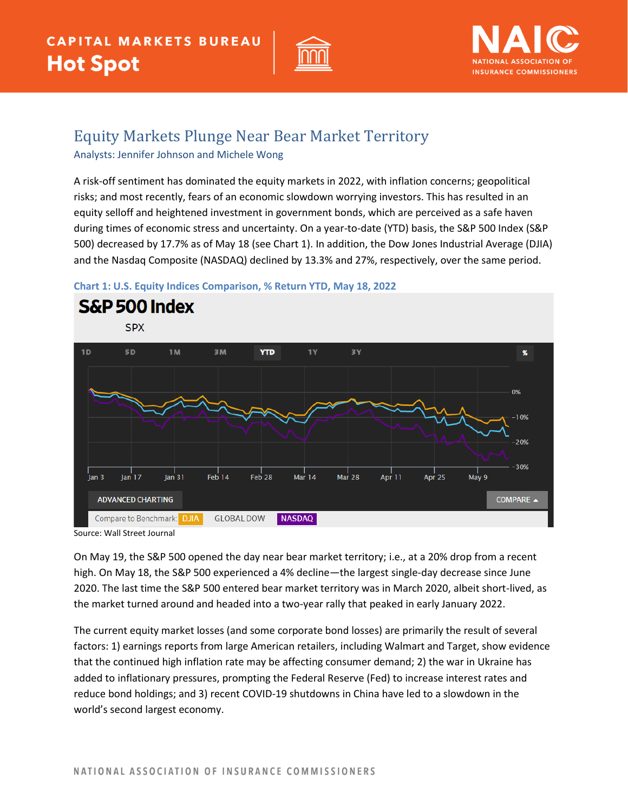



## Equity Markets Plunge Near Bear Market Territory

Analysts: Jennifer Johnson and Michele Wong

A risk-off sentiment has dominated the equity markets in 2022, with inflation concerns; geopolitical risks; and most recently, fears of an economic slowdown worrying investors. This has resulted in an equity selloff and heightened investment in government bonds, which are perceived as a safe haven during times of economic stress and uncertainty. On a year-to-date (YTD) basis, the S&P 500 Index (S&P 500) decreased by 17.7% as of May 18 (see Chart 1). In addition, the Dow Jones Industrial Average (DJIA) and the Nasdaq Composite (NASDAQ) declined by 13.3% and 27%, respectively, over the same period.





Source: Wall Street Journal

On May 19, the S&P 500 opened the day near bear market territory; i.e., at a 20% drop from a recent high. On May 18, the S&P 500 experienced a 4% decline—the largest single-day decrease since June 2020. The last time the S&P 500 entered bear market territory was in March 2020, albeit short-lived, as the market turned around and headed into a two-year rally that peaked in early January 2022.

The current equity market losses (and some corporate bond losses) are primarily the result of several factors: 1) earnings reports from large American retailers, including Walmart and Target, show evidence that the continued high inflation rate may be affecting consumer demand; 2) the war in Ukraine has added to inflationary pressures, prompting the Federal Reserve (Fed) to increase interest rates and reduce bond holdings; and 3) recent COVID-19 shutdowns in China have led to a slowdown in the world's second largest economy.